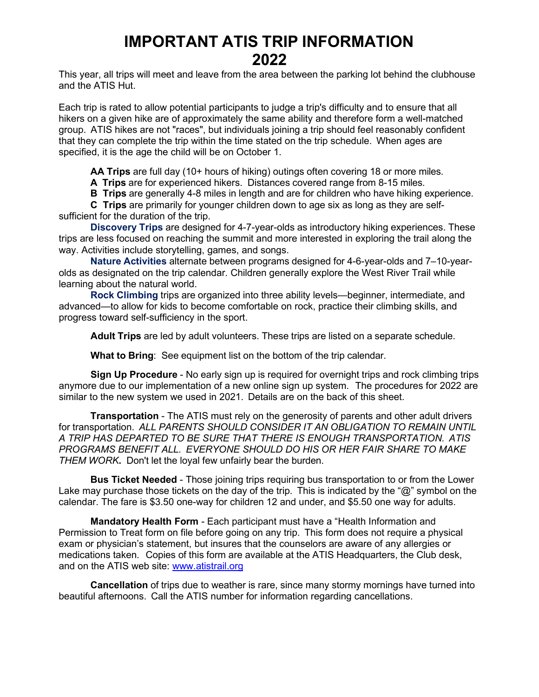## **IMPORTANT ATIS TRIP INFORMATION 2022**

This year, all trips will meet and leave from the area between the parking lot behind the clubhouse and the ATIS Hut.

Each trip is rated to allow potential participants to judge a trip's difficulty and to ensure that all hikers on a given hike are of approximately the same ability and therefore form a well-matched group. ATIS hikes are not "races", but individuals joining a trip should feel reasonably confident that they can complete the trip within the time stated on the trip schedule. When ages are specified, it is the age the child will be on October 1.

**AA Trips** are full day (10+ hours of hiking) outings often covering 18 or more miles.

**A Trips** are for experienced hikers. Distances covered range from 8-15 miles.

**B Trips** are generally 4-8 miles in length and are for children who have hiking experience.

**C Trips** are primarily for younger children down to age six as long as they are selfsufficient for the duration of the trip.

**Discovery Trips** are designed for 4-7-year-olds as introductory hiking experiences. These trips are less focused on reaching the summit and more interested in exploring the trail along the way. Activities include storytelling, games, and songs.

**Nature Activities** alternate between programs designed for 4-6-year-olds and 7–10-yearolds as designated on the trip calendar. Children generally explore the West River Trail while learning about the natural world.

**Rock Climbing** trips are organized into three ability levels—beginner, intermediate, and advanced—to allow for kids to become comfortable on rock, practice their climbing skills, and progress toward self-sufficiency in the sport.

**Adult Trips** are led by adult volunteers. These trips are listed on a separate schedule.

**What to Bring**: See equipment list on the bottom of the trip calendar.

**Sign Up Procedure** - No early sign up is required for overnight trips and rock climbing trips anymore due to our implementation of a new online sign up system. The procedures for 2022 are similar to the new system we used in 2021. Details are on the back of this sheet.

**Transportation** - The ATIS must rely on the generosity of parents and other adult drivers for transportation. *ALL PARENTS SHOULD CONSIDER IT AN OBLIGATION TO REMAIN UNTIL A TRIP HAS DEPARTED TO BE SURE THAT THERE IS ENOUGH TRANSPORTATION. ATIS PROGRAMS BENEFIT ALL. EVERYONE SHOULD DO HIS OR HER FAIR SHARE TO MAKE THEM WORK***.** Don't let the loyal few unfairly bear the burden.

**Bus Ticket Needed** - Those joining trips requiring bus transportation to or from the Lower Lake may purchase those tickets on the day of the trip. This is indicated by the "@" symbol on the calendar. The fare is \$3.50 one-way for children 12 and under, and \$5.50 one way for adults.

**Mandatory Health Form** - Each participant must have a "Health Information and Permission to Treat form on file before going on any trip. This form does not require a physical exam or physician's statement, but insures that the counselors are aware of any allergies or medications taken. Copies of this form are available at the ATIS Headquarters, the Club desk, and on the ATIS web site: [www.atistrail.org](http://www.atistrail.org/)

**Cancellation** of trips due to weather is rare, since many stormy mornings have turned into beautiful afternoons. Call the ATIS number for information regarding cancellations.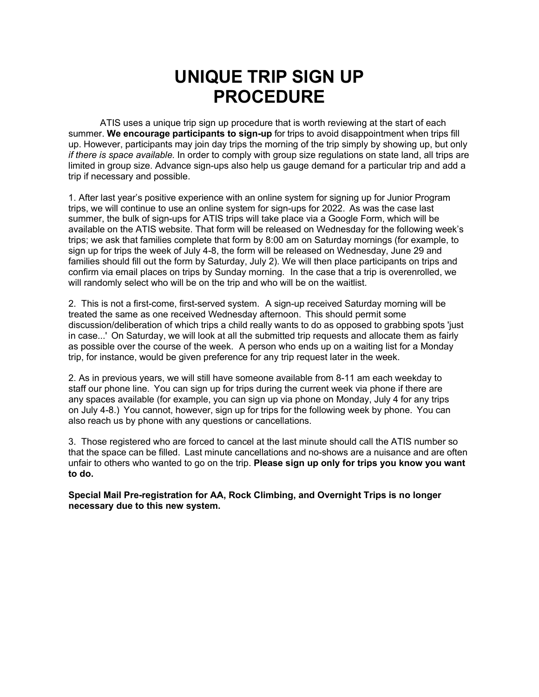## **UNIQUE TRIP SIGN UP PROCEDURE**

ATIS uses a unique trip sign up procedure that is worth reviewing at the start of each summer. **We encourage participants to sign-up** for trips to avoid disappointment when trips fill up. However, participants may join day trips the morning of the trip simply by showing up, but only *if there is space available.* In order to comply with group size regulations on state land, all trips are limited in group size. Advance sign-ups also help us gauge demand for a particular trip and add a trip if necessary and possible.

1. After last year's positive experience with an online system for signing up for Junior Program trips, we will continue to use an online system for sign-ups for 2022. As was the case last summer, the bulk of sign-ups for ATIS trips will take place via a Google Form, which will be available on the ATIS website. That form will be released on Wednesday for the following week's trips; we ask that families complete that form by 8:00 am on Saturday mornings (for example, to sign up for trips the week of July 4-8, the form will be released on Wednesday, June 29 and families should fill out the form by Saturday, July 2). We will then place participants on trips and confirm via email places on trips by Sunday morning. In the case that a trip is overenrolled, we will randomly select who will be on the trip and who will be on the waitlist.

2. This is not a first-come, first-served system. A sign-up received Saturday morning will be treated the same as one received Wednesday afternoon. This should permit some discussion/deliberation of which trips a child really wants to do as opposed to grabbing spots 'just in case...' On Saturday, we will look at all the submitted trip requests and allocate them as fairly as possible over the course of the week. A person who ends up on a waiting list for a Monday trip, for instance, would be given preference for any trip request later in the week.

2. As in previous years, we will still have someone available from 8-11 am each weekday to staff our phone line. You can sign up for trips during the current week via phone if there are any spaces available (for example, you can sign up via phone on Monday, July 4 for any trips on July 4-8.) You cannot, however, sign up for trips for the following week by phone. You can also reach us by phone with any questions or cancellations.

3. Those registered who are forced to cancel at the last minute should call the ATIS number so that the space can be filled. Last minute cancellations and no-shows are a nuisance and are often unfair to others who wanted to go on the trip. **Please sign up only for trips you know you want to do.**

**Special Mail Pre-registration for AA, Rock Climbing, and Overnight Trips is no longer necessary due to this new system.**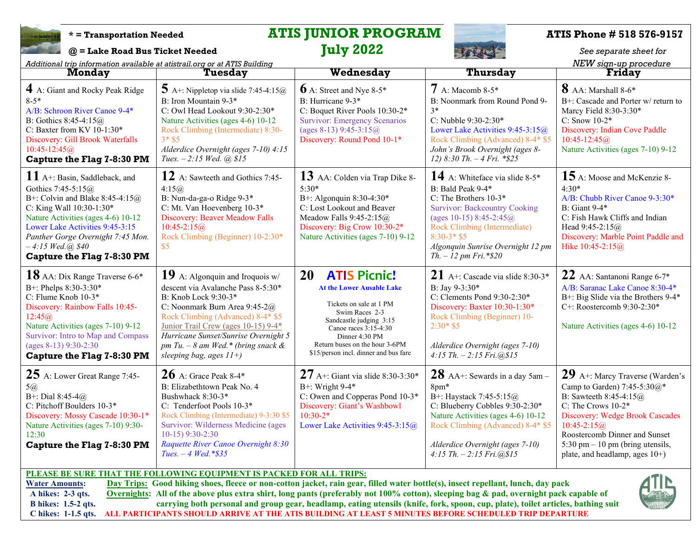

# **\* = Transportation Needed ATIS JUNIOR PROGRAM ATIS Phone # 518 576-9157**<br> **ATIS Phone # 518 576-9157**<br> *See separate sheet for*

**@ = Lake Road Bus Ticket Needed July 2022** *See separate sheet for*

*Additional trip information available at atistrail.org or at ATIS Building NEW sign-up procedure* **Monday Tuesday Wednesday Thursday Friday**

| Additional trip information available at atistian.org or at Arris Bunding<br><b>Monday</b>                                                                                                                                                                                                                                                                                                                                                                                                                                                                       | Tuesday                                                                                                                                                                                                                                                                                                                   | Wednesday                                                                                                                                                                                                                                                   | Thursday                                                                                                                                                                                                                                                                     | <i>ivor sigh-up procedule</i><br><b>Friday</b>                                                                                                                                                                                                                                           |  |  |
|------------------------------------------------------------------------------------------------------------------------------------------------------------------------------------------------------------------------------------------------------------------------------------------------------------------------------------------------------------------------------------------------------------------------------------------------------------------------------------------------------------------------------------------------------------------|---------------------------------------------------------------------------------------------------------------------------------------------------------------------------------------------------------------------------------------------------------------------------------------------------------------------------|-------------------------------------------------------------------------------------------------------------------------------------------------------------------------------------------------------------------------------------------------------------|------------------------------------------------------------------------------------------------------------------------------------------------------------------------------------------------------------------------------------------------------------------------------|------------------------------------------------------------------------------------------------------------------------------------------------------------------------------------------------------------------------------------------------------------------------------------------|--|--|
| 4 A: Giant and Rocky Peak Ridge<br>$8 - 5*$<br>A/B: Schroon River Canoe 9-4*<br>B: Gothics $8:45-4:15@$<br>C: Baxter from KV 10-1:30*<br>Discovery: Gill Brook Waterfalls<br>$10:45 - 12:45@$<br><b>Capture the Flag 7-8:30 PM</b>                                                                                                                                                                                                                                                                                                                               | $\overline{\mathbf{5}}$ A+: Nippletop via slide 7:45-4:15@<br>B: Iron Mountain 9-3*<br>C: Owl Head Lookout 9:30-2:30*<br>Nature Activities (ages 4-6) 10-12<br>Rock Climbing (Intermediate) 8:30-<br>$3 * $5$<br>Alderdice Overnight (ages 7-10) 4:15<br>Tues. $-2:15$ Wed. (a) \$15                                      | $\mathbf{6}$ A: Street and Nye 8-5*<br>B: Hurricane 9-3*<br>C: Boquet River Pools 10:30-2*<br><b>Survivor: Emergency Scenarios</b><br>(ages 8-13) 9:45-3:15 $@$<br>Discovery: Round Pond 10-1*                                                              | $7A: Macomb 8-5*$<br>B: Noonmark from Round Pond 9-<br>$3*$<br>C: Nubble 9:30-2:30*<br>Lower Lake Activities 9:45-3:15@<br>Rock Climbing (Advanced) 8-4* \$5<br>John's Brook Overnight (ages 8-<br>12) 8:30 Th. $-4 Fri.$ *\$25                                              | 8 AA: Marshall 8-6*<br>B+: Cascade and Porter w/ return to<br>Marcy Field 8:30-3:30*<br>C: Snow $10-2*$<br>Discovery: Indian Cove Paddle<br>$10:45 - 12:45@$<br>Nature Activities (ages 7-10) 9-12                                                                                       |  |  |
| $11A$ +: Basin, Saddleback, and<br>Gothics 7:45-5:15@<br>B+: Colvin and Blake 8:45-4:15 $@$<br>C: King Wall 10:30-1:30*<br>Nature Activities (ages 4-6) 10-12<br>Lower Lake Activities 9:45-3:15<br>Panther Gorge Overnight 7:45 Mon.<br>$-4:15$ Wed. $(a)$ \$40<br>Capture the Flag 7-8:30 PM                                                                                                                                                                                                                                                                   | 12 A: Sawteeth and Gothics 7:45-<br>4:15@<br>B: Nun-da-ga-o Ridge 9-3*<br>C: Mt. Van Hoevenberg 10-3*<br><b>Discovery: Beaver Meadow Falls</b><br>$10:45 - 2:15@$<br>Rock Climbing (Beginner) 10-2:30*<br>\$5                                                                                                             | 13 AA: Colden via Trap Dike 8-<br>$5:30*$<br>B+: Algonquin 8:30-4:30*<br>C: Lost Lookout and Beaver<br>Meadow Falls $9:45-2:15@$<br>Discovery: Big Crow 10:30-2*<br>Nature Activities (ages 7-10) 9-12                                                      | 14 A: Whiteface via slide $8-5*$<br>B: Bald Peak 9-4*<br>C: The Brothers 10-3*<br><b>Survivor: Backcountry Cooking</b><br>(ages 10-15) 8:45-2:45 $@$<br>Rock Climbing (Intermediate)<br>$8:30-3*$ \$5<br>Algonquin Sunrise Overnight 12 pm<br>$Th. - 12 \, pm \, Fri.$ *\$20 | 15 A: Moose and McKenzie 8-<br>$4:30*$<br>A/B: Chubb River Canoe 9-3:30*<br><b>B</b> : Giant 9-4*<br>C: Fish Hawk Cliffs and Indian<br>Head 9:45-2:15@<br>Discovery: Marble Point Paddle and<br>Hike 10:45-2:15@                                                                         |  |  |
| 18 AA: Dix Range Traverse 6-6*<br>B+: Phelps 8:30-3:30*<br>C: Flume Knob 10-3*<br>Discovery: Rainbow Falls 10:45-<br>12:45@<br>Nature Activities (ages 7-10) 9-12<br>Survivor: Intro to Map and Compass<br>(ages 8-13) 9:30-2:30<br>Capture the Flag 7-8:30 PM                                                                                                                                                                                                                                                                                                   | 19 A: Algonquin and Iroquois $w/$<br>descent via Avalanche Pass 8-5:30*<br>B: Knob Lock 9:30-3*<br>C: Noonmark Burn Area 9:45-2@<br>Rock Climbing (Advanced) 8-4* \$5<br>Junior Trail Crew (ages 10-15) 9-4*<br>Hurricane Sunset/Sunrise Overnight 5<br>pm Tu. $-8$ am Wed.* (bring snack &<br>sleeping bag, ages $11+$ ) | 20<br><b>ATIS Picnic!</b><br><b>At the Lower Ausable Lake</b><br>Tickets on sale at 1 PM<br>Swim Races 2-3<br>Sandcastle judging 3:15<br>Canoe races 3:15-4:30<br>Dinner 4:30 PM<br>Return buses on the hour 3-6PM<br>\$15/person incl. dinner and bus fare | 21 A+: Cascade via slide 8:30-3*<br>B: Jay 9-3:30*<br>C: Clements Pond 9:30-2:30*<br>Discovery: Baxter 10:30-1:30*<br>Rock Climbing (Beginner) 10-<br>$2:30*$ \$5<br>Alderdice Overnight (ages 7-10)<br>$4:15 Th. - 2:15 Fri. @ $15$                                         | 22 AA: Santanoni Range 6-7*<br>A/B: Saranac Lake Canoe 8:30-4*<br>B+: Big Slide via the Brothers 9-4*<br>C+: Roostercomb 9:30-2:30*<br>Nature Activities (ages 4-6) 10-12                                                                                                                |  |  |
| $25$ A: Lower Great Range 7:45-<br>5@<br>B+: Dial 8:45-4@<br>C: Pitchoff Boulders 10-3*<br>Discovery: Mossy Cascade 10:30-1*<br>Nature Activities (ages 7-10) 9:30-<br>12:30<br>Capture the Flag 7-8:30 PM                                                                                                                                                                                                                                                                                                                                                       | $26$ A: Grace Peak 8-4*<br>B: Elizabethtown Peak No. 4<br>Bushwhack 8:30-3*<br>C: Tenderfoot Pools 10-3*<br>Rock Climbing (Intermediate) 9-3:30 \$5<br>Survivor: Wilderness Medicine (ages<br>$10-15$ ) 9:30-2:30<br>Raquette River Canoe Overnight 8:30<br>Tues. $-4$ Wed. *\$35                                         | $27$ A+: Giant via slide 8:30-3:30*<br>$B+$ : Wright 9-4*<br>C: Owen and Copperas Pond 10-3*<br>Discovery: Giant's Washbowl<br>$10:30-2*$<br>Lower Lake Activities 9:45-3:15@                                                                               | $28$ AA+: Sewards in a day 5am -<br>8pm*<br>B+: Haystack 7:45-5:15@<br>C: Blueberry Cobbles 9:30-2:30*<br>Nature Activities (ages 4-6) 10-12<br>Rock Climbing (Advanced) 8-4* \$5<br>Alderdice Overnight (ages 7-10)<br>$4:15$ Th. $-2:15$ Fri. $@315$                       | $29$ A+: Marcy Traverse (Warden's<br>Camp to Garden) 7:45-5:30 $@*$<br>B: Sawteeth $8:45-4:15@$<br>C: The Crows 10-2*<br>Discovery: Wedge Brook Cascades<br>$10:45 - 2:15(a)$<br>Roostercomb Dinner and Sunset<br>5:30 pm $-10$ pm (bring utensils,<br>plate, and headlamp, ages $10+$ ) |  |  |
| PLEASE BE SURE THAT THE FOLLOWING EQUIPMENT IS PACKED FOR ALL TRIPS:<br>Day Trips: Good hiking shoes, fleece or non-cotton jacket, rain gear, filled water bottle(s), insect repellant, lunch, day pack<br><b>Water Amounts:</b><br>Overnights: All of the above plus extra shirt, long pants (preferably not 100% cotton), sleeping bag & pad, overnight pack capable of<br>A hikes: 2-3 qts.<br>carrying both personal and group gear, headlamp, eating utensils (knife, fork, spoon, cup, plate), toilet articles, bathing suit<br><b>B</b> hikes: 1.5-2 qts. |                                                                                                                                                                                                                                                                                                                           |                                                                                                                                                                                                                                                             |                                                                                                                                                                                                                                                                              |                                                                                                                                                                                                                                                                                          |  |  |

 **C hikes: 1-1.5 qts. ALL PARTICIPANTS SHOULD ARRIVE AT THE ATIS BUILDING AT LEAST 5 MINUTES BEFORE SCHEDULED TRIP DEPARTURE**